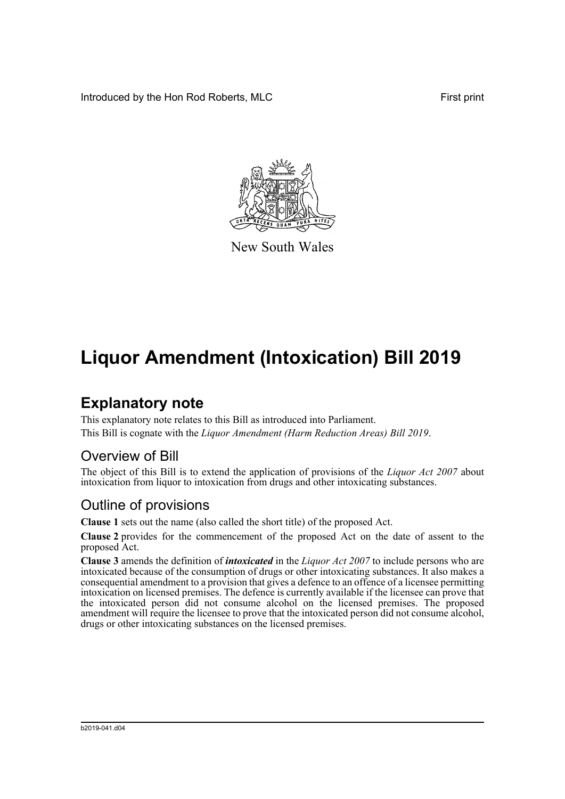Introduced by the Hon Rod Roberts, MLC **First print** First print



New South Wales

# **Liquor Amendment (Intoxication) Bill 2019**

## **Explanatory note**

This explanatory note relates to this Bill as introduced into Parliament. This Bill is cognate with the *Liquor Amendment (Harm Reduction Areas) Bill 2019*.

#### Overview of Bill

The object of this Bill is to extend the application of provisions of the *Liquor Act 2007* about intoxication from liquor to intoxication from drugs and other intoxicating substances.

### Outline of provisions

**Clause 1** sets out the name (also called the short title) of the proposed Act.

**Clause 2** provides for the commencement of the proposed Act on the date of assent to the proposed Act.

**Clause 3** amends the definition of *intoxicated* in the *Liquor Act 2007* to include persons who are intoxicated because of the consumption of drugs or other intoxicating substances. It also makes a consequential amendment to a provision that gives a defence to an offence of a licensee permitting intoxication on licensed premises. The defence is currently available if the licensee can prove that the intoxicated person did not consume alcohol on the licensed premises. The proposed amendment will require the licensee to prove that the intoxicated person did not consume alcohol, drugs or other intoxicating substances on the licensed premises.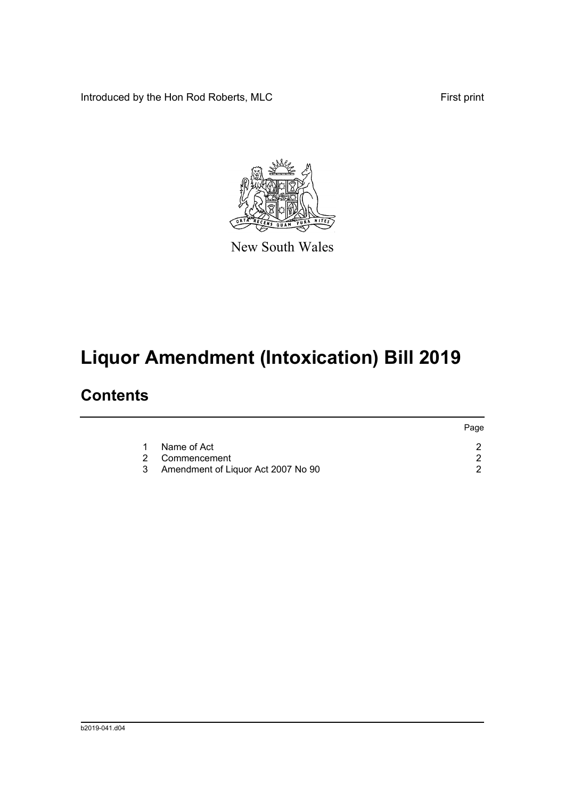Introduced by the Hon Rod Roberts, MLC First print



New South Wales

# **Liquor Amendment (Intoxication) Bill 2019**

## **Contents**

|   |                                    | Page |
|---|------------------------------------|------|
| 1 | Name of Act                        |      |
|   | 2 Commencement                     |      |
| 3 | Amendment of Liquor Act 2007 No 90 |      |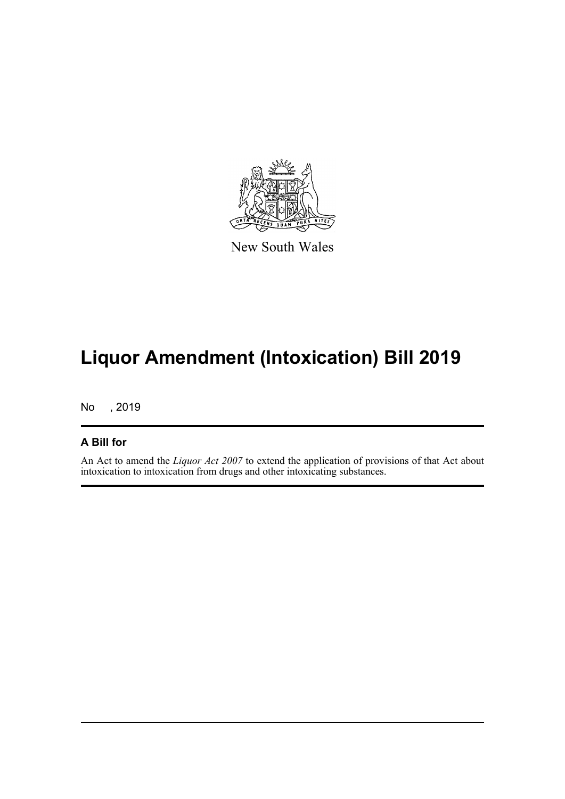

New South Wales

## **Liquor Amendment (Intoxication) Bill 2019**

No , 2019

#### **A Bill for**

An Act to amend the *Liquor Act 2007* to extend the application of provisions of that Act about intoxication to intoxication from drugs and other intoxicating substances.